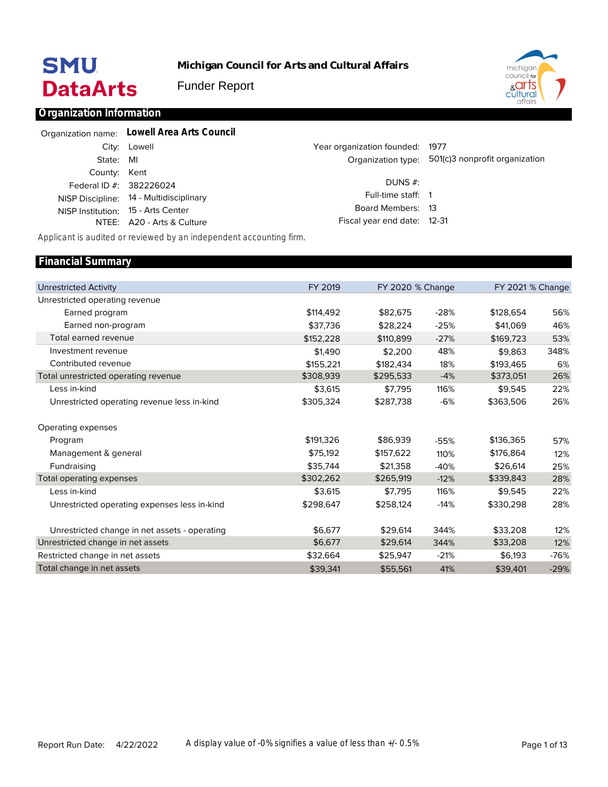# **SMU DataArts**

**Michigan Council for Arts and Cultural Affairs**

Funder Report



### **Organization Information**

|              | Organization name: Lowell Area Arts Council |                                 |                                                   |
|--------------|---------------------------------------------|---------------------------------|---------------------------------------------------|
|              | City: Lowell                                | Year organization founded: 1977 |                                                   |
| State: MI    |                                             |                                 | Organization type: 501(c)3 nonprofit organization |
| County: Kent | Federal ID #: 382226024                     | DUNS $#$ :                      |                                                   |
|              | NISP Discipline: 14 - Multidisciplinary     | Full-time staff: 1              |                                                   |
|              | NISP Institution: 15 - Arts Center          | Board Members: 13               |                                                   |
|              | NTEE: A20 - Arts & Culture                  | Fiscal year end date: 12-31     |                                                   |

*Applicant is audited or reviewed by an independent accounting firm.*

#### Unrestricted Activity Unrestricted operating revenue Earned program Earned non-program Total earned revenue Investment revenue Contributed revenue Total unrestricted operating revenue Less in-kind Unrestricted operating revenue less in-kind Operating expenses Program Management & general Fundraising Total operating expenses Less in-kind Unrestricted operating expenses less in-kind Unrestricted change in net assets - operating Unrestricted change in net assets Restricted change in net assets Total change in net assets FY 2019 \$114,492 \$37,736 \$152,228 \$1,490 \$155,221 \$308,939 \$3,615 \$305,324 \$191,326 \$75,192 \$35,744 \$302,262 \$3,615 \$298,647 \$6,677 \$6,677 \$32,664 \$39,341 FY 2020 % Change \$82,675 \$28,224 \$110,899 \$2,200 \$182,434 \$295,533 \$7,795 \$287,738 \$86,939 \$157,622 \$21,358 \$265,919 \$7,795 \$258,124 \$29,614 \$29,614 \$25,947 \$55,561 -28% -25% -27% 48% 18% -4% 116% -6% -55% 110% -40% -12% 116% -14% 344% 344% -21% 41% FY 2021 % Change \$128,654 \$41,069 \$169,723 \$9,863 \$193,465 \$373,051 \$9,545 \$363,506 \$136,365 \$176,864 \$26,614 \$339,843 \$9,545 \$330,298 \$33,208 \$33,208 \$6,193 \$39,401 56% 46% 53% 348% 6% 26% 22% 26% 57% 12% 25% 28% 22% 28% 12% 12% -76% -29% **Financial Summary**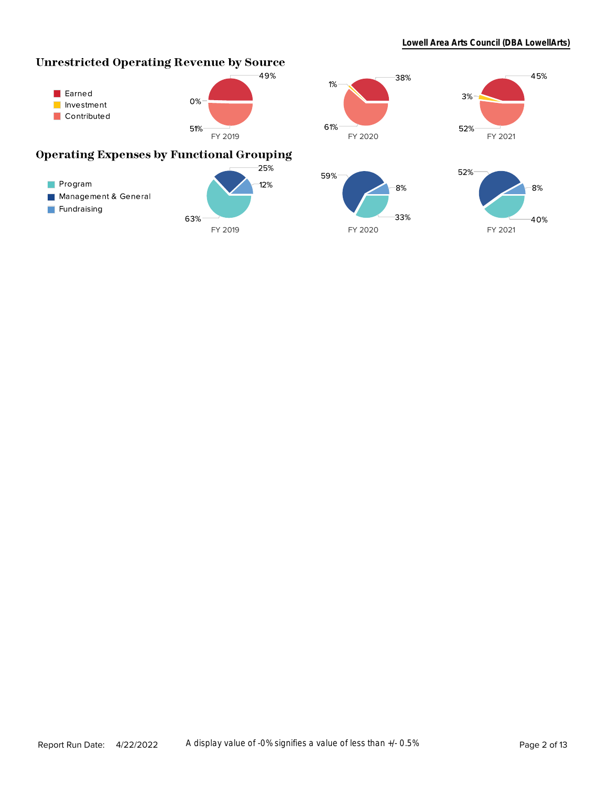# **Unrestricted Operating Revenue by Source**



63%

Program

Fundraising

Management & General

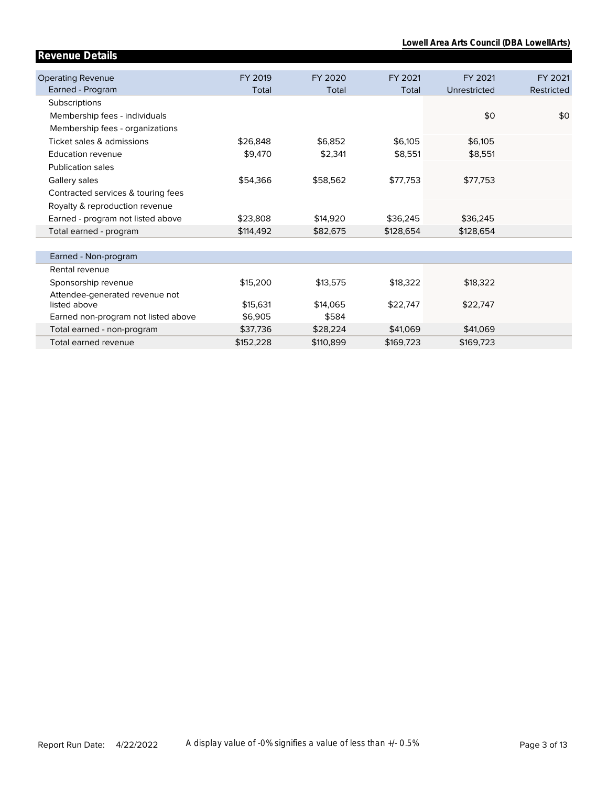**Lowell Area Arts Council (DBA LowellArts)**

| Revenue Details                     |           |           |           |              |            |
|-------------------------------------|-----------|-----------|-----------|--------------|------------|
|                                     |           |           |           |              |            |
| <b>Operating Revenue</b>            | FY 2019   | FY 2020   | FY 2021   | FY 2021      | FY 2021    |
| Earned - Program                    | Total     | Total     | Total     | Unrestricted | Restricted |
| Subscriptions                       |           |           |           |              |            |
| Membership fees - individuals       |           |           |           | \$0          | \$0        |
| Membership fees - organizations     |           |           |           |              |            |
| Ticket sales & admissions           | \$26,848  | \$6,852   | \$6,105   | \$6,105      |            |
| Education revenue                   | \$9,470   | \$2,341   | \$8,551   | \$8,551      |            |
| <b>Publication sales</b>            |           |           |           |              |            |
| Gallery sales                       | \$54,366  | \$58,562  | \$77,753  | \$77,753     |            |
| Contracted services & touring fees  |           |           |           |              |            |
| Royalty & reproduction revenue      |           |           |           |              |            |
| Earned - program not listed above   | \$23,808  | \$14,920  | \$36,245  | \$36,245     |            |
| Total earned - program              | \$114,492 | \$82,675  | \$128,654 | \$128,654    |            |
|                                     |           |           |           |              |            |
| Earned - Non-program                |           |           |           |              |            |
| Rental revenue                      |           |           |           |              |            |
| Sponsorship revenue                 | \$15,200  | \$13,575  | \$18,322  | \$18,322     |            |
| Attendee-generated revenue not      |           |           |           |              |            |
| listed above                        | \$15,631  | \$14,065  | \$22,747  | \$22,747     |            |
| Earned non-program not listed above | \$6,905   | \$584     |           |              |            |
| Total earned - non-program          | \$37,736  | \$28,224  | \$41,069  | \$41,069     |            |
| Total earned revenue                | \$152,228 | \$110,899 | \$169,723 | \$169,723    |            |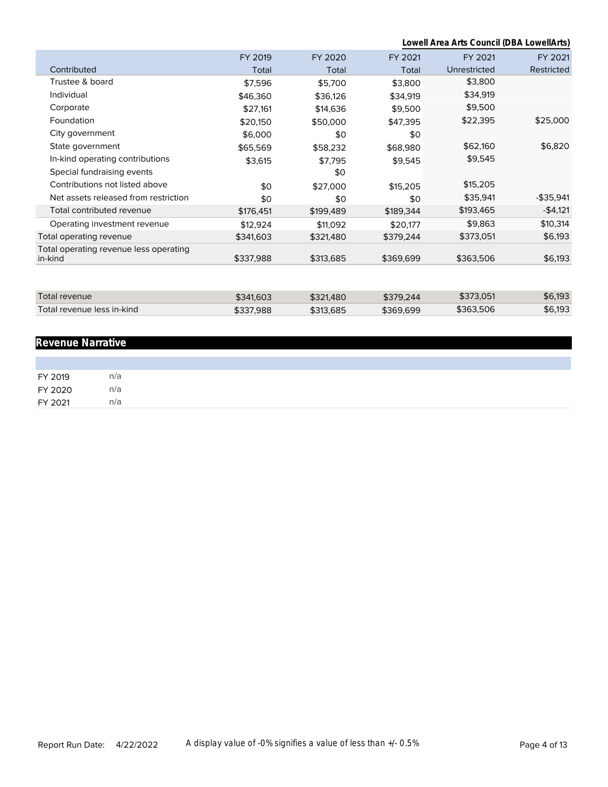|                                                   |           |           | Lowell Area Arts Council (DBA LowellArts) |              |              |  |
|---------------------------------------------------|-----------|-----------|-------------------------------------------|--------------|--------------|--|
|                                                   | FY 2019   | FY 2020   | FY 2021                                   | FY 2021      | FY 2021      |  |
| Contributed                                       | Total     | Total     | Total                                     | Unrestricted | Restricted   |  |
| Trustee & board                                   | \$7,596   | \$5,700   | \$3,800                                   | \$3,800      |              |  |
| Individual                                        | \$46,360  | \$36,126  | \$34,919                                  | \$34,919     |              |  |
| Corporate                                         | \$27,161  | \$14,636  | \$9,500                                   | \$9,500      |              |  |
| Foundation                                        | \$20,150  | \$50,000  | \$47,395                                  | \$22,395     | \$25,000     |  |
| City government                                   | \$6,000   | \$0       | \$0                                       |              |              |  |
| State government                                  | \$65,569  | \$58,232  | \$68,980                                  | \$62,160     | \$6,820      |  |
| In-kind operating contributions                   | \$3,615   | \$7,795   | \$9,545                                   | \$9,545      |              |  |
| Special fundraising events                        |           | \$0       |                                           |              |              |  |
| Contributions not listed above                    | \$0       | \$27,000  | \$15,205                                  | \$15,205     |              |  |
| Net assets released from restriction              | \$0       | \$0       | \$0                                       | \$35,941     | $-$ \$35,941 |  |
| Total contributed revenue                         | \$176,451 | \$199,489 | \$189,344                                 | \$193,465    | $-$4,121$    |  |
| Operating investment revenue                      | \$12,924  | \$11,092  | \$20,177                                  | \$9,863      | \$10,314     |  |
| Total operating revenue                           | \$341,603 | \$321,480 | \$379,244                                 | \$373,051    | \$6,193      |  |
| Total operating revenue less operating<br>in-kind | \$337,988 | \$313,685 | \$369,699                                 | \$363,506    | \$6,193      |  |
|                                                   |           |           |                                           |              |              |  |
| Total revenue                                     | \$341,603 | \$321,480 | \$379,244                                 | \$373,051    | \$6,193      |  |
| Total revenue less in-kind                        | \$337,988 | \$313,685 | \$369,699                                 | \$363,506    | \$6,193      |  |

# **Revenue Narrative**

| FY 2019 | n/a |
|---------|-----|
| FY 2020 | n/a |
| FY 2021 | n/a |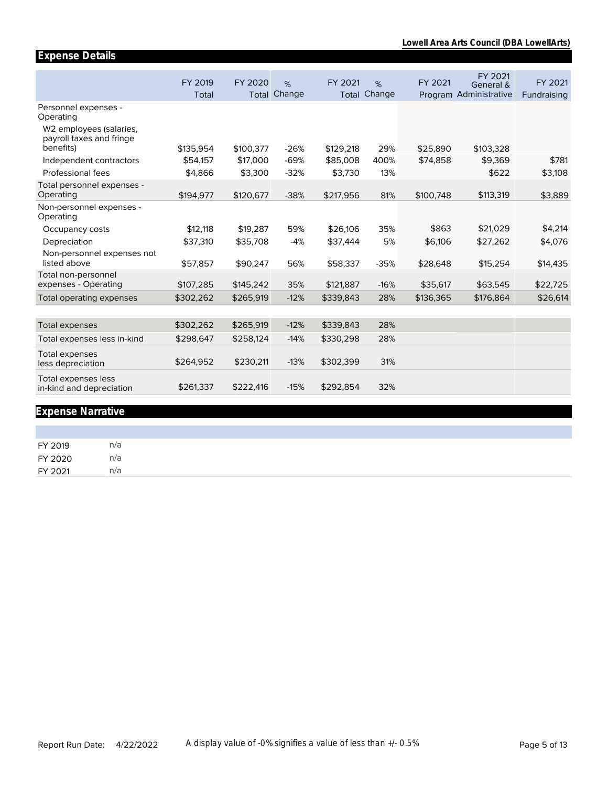|                                                                                                                   | FY 2019   | FY 2020   | %      | FY 2021   | %                   | FY 2021   | FY 2021<br>General &   | FY 2021     |
|-------------------------------------------------------------------------------------------------------------------|-----------|-----------|--------|-----------|---------------------|-----------|------------------------|-------------|
|                                                                                                                   | Total     | Total     | Change |           | <b>Total Change</b> |           | Program Administrative | Fundraising |
| Personnel expenses -<br>Operating<br>W <sub>2</sub> employees (salaries,<br>payroll taxes and fringe<br>benefits) |           |           |        |           | 29%                 |           |                        |             |
|                                                                                                                   | \$135,954 | \$100,377 | $-26%$ | \$129,218 |                     | \$25,890  | \$103,328              |             |
| Independent contractors                                                                                           | \$54,157  | \$17,000  | $-69%$ | \$85,008  | 400%                | \$74,858  | \$9,369                | \$781       |
| Professional fees                                                                                                 | \$4,866   | \$3,300   | $-32%$ | \$3,730   | 13%                 |           | \$622                  | \$3,108     |
| Total personnel expenses -<br>Operating                                                                           | \$194,977 | \$120,677 | $-38%$ | \$217,956 | 81%                 | \$100,748 | \$113,319              | \$3,889     |
| Non-personnel expenses -<br>Operating                                                                             |           |           |        |           |                     |           |                        |             |
| Occupancy costs                                                                                                   | \$12,118  | \$19,287  | 59%    | \$26,106  | 35%                 | \$863     | \$21.029               | \$4,214     |
| Depreciation                                                                                                      | \$37,310  | \$35,708  | $-4%$  | \$37,444  | 5%                  | \$6,106   | \$27,262               | \$4,076     |
| Non-personnel expenses not                                                                                        |           |           |        |           |                     |           |                        |             |
| listed above                                                                                                      | \$57,857  | \$90,247  | 56%    | \$58,337  | $-35%$              | \$28,648  | \$15,254               | \$14,435    |
| Total non-personnel<br>expenses - Operating                                                                       | \$107,285 | \$145,242 | 35%    | \$121,887 | $-16%$              | \$35,617  | \$63,545               | \$22,725    |
| Total operating expenses                                                                                          | \$302,262 | \$265,919 | $-12%$ | \$339,843 | 28%                 | \$136,365 | \$176,864              | \$26,614    |
|                                                                                                                   |           |           |        |           |                     |           |                        |             |
| <b>Total expenses</b>                                                                                             | \$302,262 | \$265,919 | $-12%$ | \$339,843 | 28%                 |           |                        |             |
| Total expenses less in-kind                                                                                       | \$298,647 | \$258,124 | $-14%$ | \$330,298 | 28%                 |           |                        |             |
| <b>Total expenses</b><br>less depreciation                                                                        | \$264,952 | \$230,211 | $-13%$ | \$302,399 | 31%                 |           |                        |             |
| Total expenses less<br>in-kind and depreciation                                                                   | \$261,337 | \$222,416 | $-15%$ | \$292,854 | 32%                 |           |                        |             |
|                                                                                                                   |           |           |        |           |                     |           |                        |             |

# **Expense Narrative**

**Expense Details**

FY 2019 n/a FY 2020 n/a FY 2021 n/a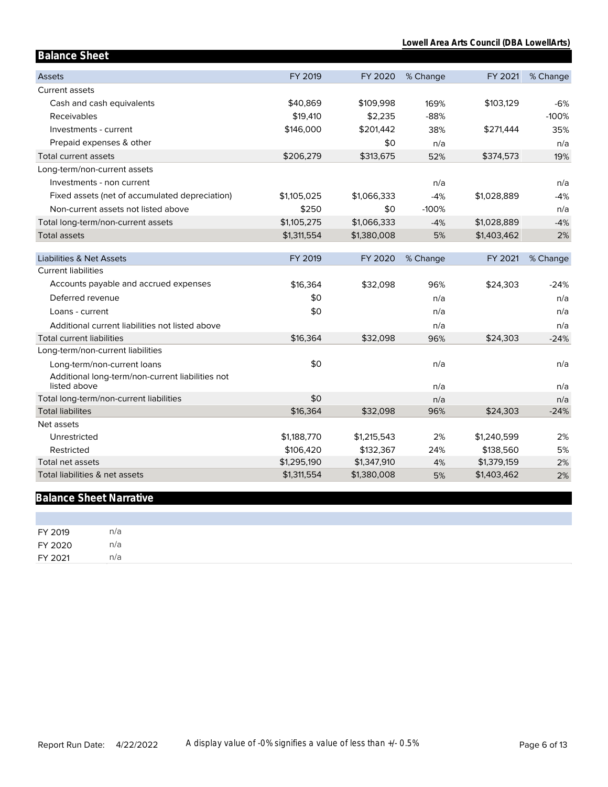| <b>Balance Sheet</b>                                               |             |             |            |             |               |
|--------------------------------------------------------------------|-------------|-------------|------------|-------------|---------------|
| <b>Assets</b>                                                      | FY 2019     | FY 2020     | % Change   | FY 2021     | % Change      |
| <b>Current assets</b>                                              |             |             |            |             |               |
| Cash and cash equivalents                                          | \$40,869    | \$109,998   | 169%       | \$103,129   | $-6%$         |
| Receivables                                                        | \$19,410    | \$2,235     | $-88%$     |             | $-100%$       |
| Investments - current                                              | \$146,000   | \$201,442   | 38%        | \$271,444   | 35%           |
| Prepaid expenses & other                                           |             | \$0         | n/a        |             | n/a           |
| <b>Total current assets</b>                                        | \$206,279   | \$313,675   | 52%        | \$374,573   | 19%           |
| Long-term/non-current assets                                       |             |             |            |             |               |
| Investments - non current                                          |             |             | n/a        |             | n/a           |
| Fixed assets (net of accumulated depreciation)                     | \$1,105,025 | \$1,066,333 | $-4%$      | \$1,028,889 | $-4%$         |
| Non-current assets not listed above                                | \$250       | \$0         | $-100%$    |             | n/a           |
| Total long-term/non-current assets                                 | \$1,105,275 | \$1,066,333 | $-4%$      | \$1,028,889 | $-4%$         |
| <b>Total assets</b>                                                | \$1,311,554 | \$1,380,008 | 5%         | \$1,403,462 | 2%            |
|                                                                    |             |             |            |             |               |
| <b>Liabilities &amp; Net Assets</b>                                | FY 2019     | FY 2020     | % Change   | FY 2021     | % Change      |
| <b>Current liabilities</b>                                         |             |             |            |             |               |
| Accounts payable and accrued expenses                              | \$16,364    | \$32,098    | 96%        | \$24,303    | $-24%$        |
| Deferred revenue                                                   | \$0         |             | n/a        |             | n/a           |
| Loans - current                                                    | \$0         |             | n/a        |             | n/a           |
| Additional current liabilities not listed above                    |             |             | n/a        |             | n/a           |
| <b>Total current liabilities</b>                                   | \$16,364    | \$32,098    | 96%        | \$24,303    | $-24%$        |
| Long-term/non-current liabilities                                  |             |             |            |             |               |
| Long-term/non-current loans                                        | \$0         |             | n/a        |             | n/a           |
| Additional long-term/non-current liabilities not                   |             |             |            |             |               |
| listed above                                                       | \$0         |             | n/a        |             | n/a           |
| Total long-term/non-current liabilities<br><b>Total liabilites</b> | \$16,364    | \$32,098    | n/a<br>96% | \$24,303    | n/a<br>$-24%$ |
| Net assets                                                         |             |             |            |             |               |
| Unrestricted                                                       | \$1,188,770 | \$1,215,543 | 2%         | \$1,240,599 | 2%            |
| Restricted                                                         | \$106,420   | \$132,367   | 24%        | \$138,560   | 5%            |
| Total net assets                                                   | \$1,295,190 | \$1,347,910 | 4%         | \$1,379,159 | 2%            |
| Total liabilities & net assets                                     | \$1,311,554 | \$1,380,008 | 5%         | \$1,403,462 | 2%            |

# **Balance Sheet Narrative**

| FY 2019 | n/a |
|---------|-----|
| FY 2020 | n/a |
| FY 2021 | n/a |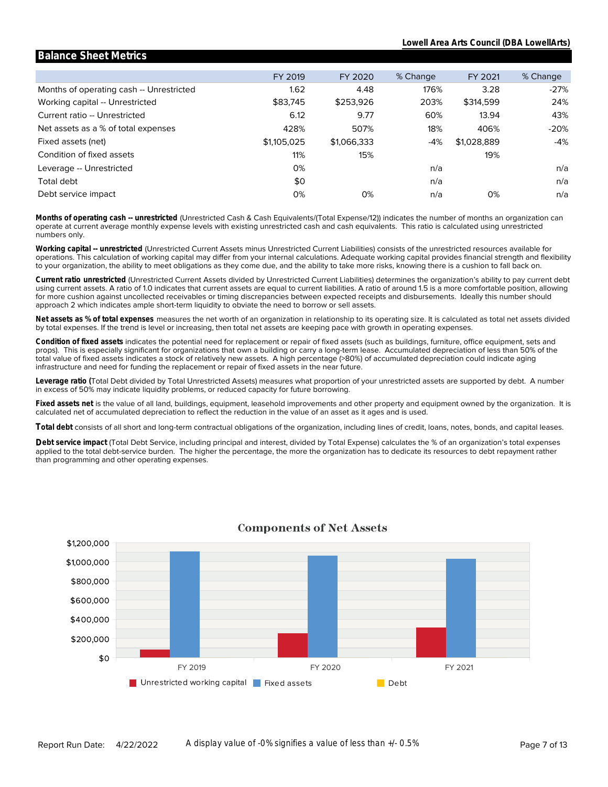#### Months of operating cash -- Unrestricted Working capital -- Unrestricted Current ratio -- Unrestricted Net assets as a % of total expenses Fixed assets (net) Condition of fixed assets Leverage -- Unrestricted Total debt Debt service impact FY 2019 1.62 \$83,745 6.12 428% \$1,105,025 11% 0% \$0 0% FY 2020 4.48 \$253,926 9.77 507% \$1,066,333 15% 0% % Change 176% 203% 60% 18% -4% n/a n/a n/a FY 2021 3.28 \$314,599 13.94 406% \$1,028,889 19% 0% % Change -27% 24% 43% -20% -4% n/a n/a n/a

**Balance Sheet Metrics**

numbers only. operate at current average monthly expense levels with existing unrestricted cash and cash equivalents. This ratio is calculated using unrestricted **Months of operating cash -- unrestricted** (Unrestricted Cash & Cash Equivalents/(Total Expense/12)) indicates the number of months an organization can

to your organization, the ability to meet obligations as they come due, and the ability to take more risks, knowing there is a cushion to fall back on. operations. This calculation of working capital may differ from your internal calculations. Adequate working capital provides financial strength and flexibility **Working capital -- unrestricted** (Unrestricted Current Assets minus Unrestricted Current Liabilities) consists of the unrestricted resources available for

approach 2 which indicates ample short-term liquidity to obviate the need to borrow or sell assets. for more cushion against uncollected receivables or timing discrepancies between expected receipts and disbursements. Ideally this number should using current assets. A ratio of 1.0 indicates that current assets are equal to current liabilities. A ratio of around 1.5 is a more comfortable position, allowing **Current ratio unrestricted** (Unrestricted Current Assets divided by Unrestricted Current Liabilities) determines the organization's ability to pay current debt

by total expenses. If the trend is level or increasing, then total net assets are keeping pace with growth in operating expenses. **Net assets as % of total expenses** measures the net worth of an organization in relationship to its operating size. It is calculated as total net assets divided

infrastructure and need for funding the replacement or repair of fixed assets in the near future. total value of fixed assets indicates a stock of relatively new assets. A high percentage (>80%) of accumulated depreciation could indicate aging props). This is especially significant for organizations that own a building or carry a long-term lease. Accumulated depreciation of less than 50% of the **Condition of fixed assets** indicates the potential need for replacement or repair of fixed assets (such as buildings, furniture, office equipment, sets and

in excess of 50% may indicate liquidity problems, or reduced capacity for future borrowing. **Leverage ratio (**Total Debt divided by Total Unrestricted Assets) measures what proportion of your unrestricted assets are supported by debt. A number

calculated net of accumulated depreciation to reflect the reduction in the value of an asset as it ages and is used. **Fixed assets net** is the value of all land, buildings, equipment, leasehold improvements and other property and equipment owned by the organization. It is

**Total debt** consists of all short and long-term contractual obligations of the organization, including lines of credit, loans, notes, bonds, and capital leases.

than programming and other operating expenses. applied to the total debt-service burden. The higher the percentage, the more the organization has to dedicate its resources to debt repayment rather Debt service impact (Total Debt Service, including principal and interest, divided by Total Expense) calculates the % of an organization's total expenses



### **Components of Net Assets**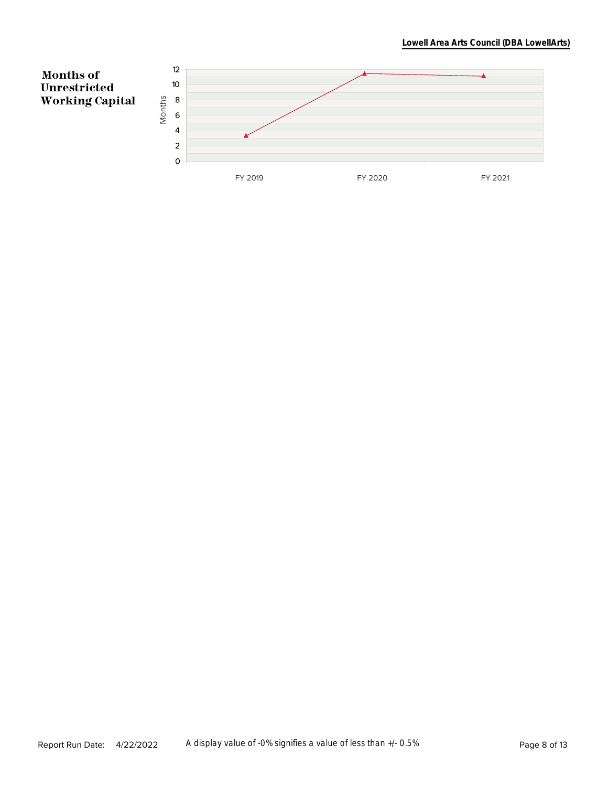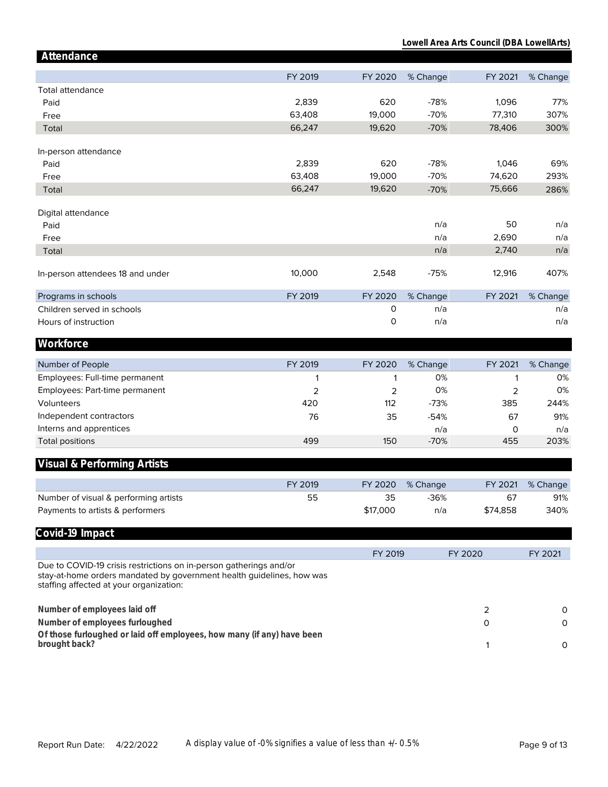#### **Lowell Area Arts Council (DBA LowellArts)**

| Attendance                                                                                                                                                                             |         |                |          |          |          |
|----------------------------------------------------------------------------------------------------------------------------------------------------------------------------------------|---------|----------------|----------|----------|----------|
|                                                                                                                                                                                        | FY 2019 | FY 2020        | % Change | FY 2021  | % Change |
| Total attendance                                                                                                                                                                       |         |                |          |          |          |
| Paid                                                                                                                                                                                   | 2,839   | 620            | $-78%$   | 1,096    | 77%      |
| Free                                                                                                                                                                                   | 63,408  | 19,000         | $-70%$   | 77,310   | 307%     |
| Total                                                                                                                                                                                  | 66,247  | 19,620         | $-70%$   | 78,406   | 300%     |
|                                                                                                                                                                                        |         |                |          |          |          |
| In-person attendance                                                                                                                                                                   |         |                |          |          |          |
| Paid                                                                                                                                                                                   | 2,839   | 620            | $-78%$   | 1,046    | 69%      |
| Free                                                                                                                                                                                   | 63,408  | 19,000         | $-70%$   | 74,620   | 293%     |
| Total                                                                                                                                                                                  | 66,247  | 19,620         | $-70%$   | 75,666   | 286%     |
| Digital attendance                                                                                                                                                                     |         |                |          |          |          |
| Paid                                                                                                                                                                                   |         |                | n/a      | 50       | n/a      |
| Free                                                                                                                                                                                   |         |                | n/a      | 2,690    | n/a      |
| Total                                                                                                                                                                                  |         |                | n/a      | 2,740    | n/a      |
| In-person attendees 18 and under                                                                                                                                                       | 10,000  | 2,548          | $-75%$   | 12,916   | 407%     |
|                                                                                                                                                                                        |         |                |          |          |          |
| Programs in schools                                                                                                                                                                    | FY 2019 | FY 2020        | % Change | FY 2021  | % Change |
| Children served in schools                                                                                                                                                             |         | 0              | n/a      |          | n/a      |
| Hours of instruction                                                                                                                                                                   |         | 0              | n/a      |          | n/a      |
| Workforce                                                                                                                                                                              |         |                |          |          |          |
| Number of People                                                                                                                                                                       | FY 2019 | FY 2020        | % Change | FY 2021  | % Change |
| Employees: Full-time permanent                                                                                                                                                         | 1       | 1              | 0%       | 1        | 0%       |
| Employees: Part-time permanent                                                                                                                                                         | 2       | $\overline{2}$ | 0%       | 2        | 0%       |
| Volunteers                                                                                                                                                                             | 420     | 112            | $-73%$   | 385      | 244%     |
| Independent contractors                                                                                                                                                                | 76      | 35             | $-54%$   | 67       | 91%      |
| Interns and apprentices                                                                                                                                                                |         |                | n/a      | 0        | n/a      |
| <b>Total positions</b>                                                                                                                                                                 | 499     | 150            | $-70%$   | 455      | 203%     |
| Visual & Performing Artists                                                                                                                                                            |         |                |          |          |          |
|                                                                                                                                                                                        |         |                |          |          |          |
|                                                                                                                                                                                        | FY 2019 | FY 2020        | % Change | FY 2021  | % Change |
| Number of visual & performing artists                                                                                                                                                  | 55      | 35             | $-36%$   | 67       | 91%      |
| Payments to artists & performers                                                                                                                                                       |         | \$17,000       | n/a      | \$74,858 | 340%     |
| Covid-19 Impact                                                                                                                                                                        |         |                |          |          |          |
|                                                                                                                                                                                        |         | FY 2019        |          | FY 2020  | FY 2021  |
| Due to COVID-19 crisis restrictions on in-person gatherings and/or<br>stay-at-home orders mandated by government health guidelines, how was<br>staffing affected at your organization: |         |                |          |          |          |
| Number of employees laid off                                                                                                                                                           |         |                |          | 2        | 0        |
| Number of employees furloughed                                                                                                                                                         |         |                |          | O        | 0        |
| Of those furloughed or laid off employees, how many (if any) have been                                                                                                                 |         |                |          |          |          |
| brought back?                                                                                                                                                                          |         |                |          | 1        | 0        |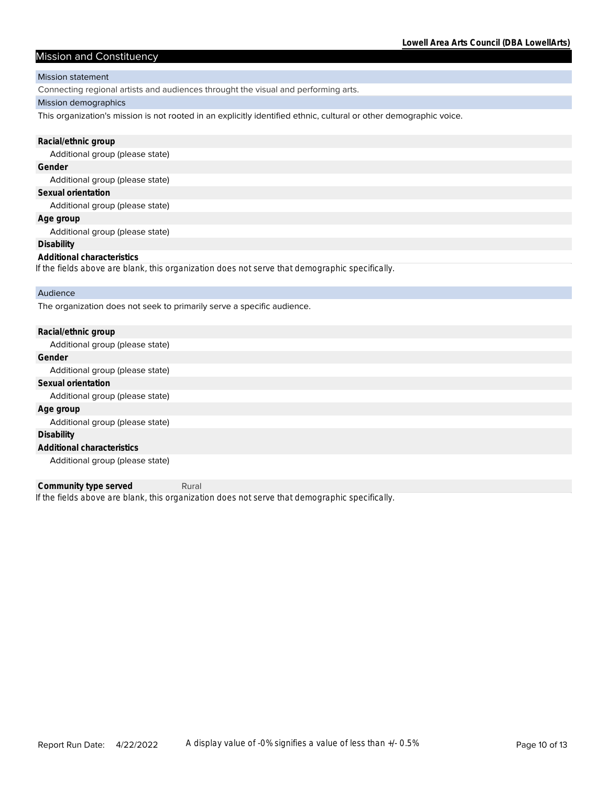# Mission and Constituency

#### Mission statement

Connecting regional artists and audiences throught the visual and performing arts.

#### Mission demographics

This organization's mission is not rooted in an explicitly identified ethnic, cultural or other demographic voice.

| Racial/ethnic group                                                                            |
|------------------------------------------------------------------------------------------------|
| Additional group (please state)                                                                |
| Gender                                                                                         |
| Additional group (please state)                                                                |
| Sexual orientation                                                                             |
| Additional group (please state)                                                                |
| Age group                                                                                      |
| Additional group (please state)                                                                |
| Disability                                                                                     |
| Additional characteristics                                                                     |
| If the fields above are blank, this organization does not serve that demographic specifically. |
| Audience                                                                                       |
| The organization does not seek to primarily serve a specific audience.                         |

| Racial/ethnic group             |
|---------------------------------|
| Additional group (please state) |
| Gender                          |
| Additional group (please state) |
| Sexual orientation              |
| Additional group (please state) |
| Age group                       |
| Additional group (please state) |
| Disability                      |
| Additional characteristics      |
| Additional group (please state) |

*If the fields above are blank, this organization does not serve that demographic specifically.* **Community type served** Rural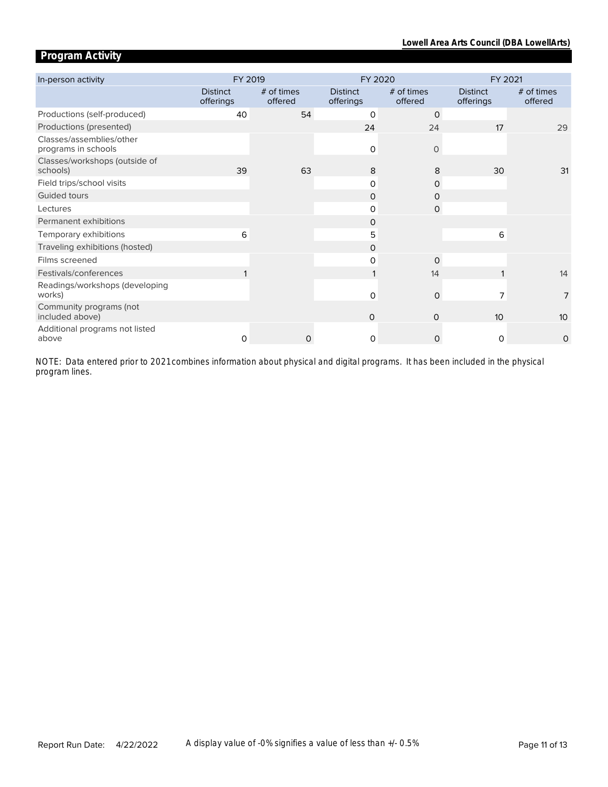# **Program Activity**

| In-person activity                              | FY 2019                      |                       | FY 2020                      |                       | FY 2021                      |                       |  |
|-------------------------------------------------|------------------------------|-----------------------|------------------------------|-----------------------|------------------------------|-----------------------|--|
|                                                 | <b>Distinct</b><br>offerings | # of times<br>offered | <b>Distinct</b><br>offerings | # of times<br>offered | <b>Distinct</b><br>offerings | # of times<br>offered |  |
| Productions (self-produced)                     | 40                           | 54                    | $\Omega$                     | $\mathbf 0$           |                              |                       |  |
| Productions (presented)                         |                              |                       | 24                           | 24                    | 17                           | 29                    |  |
| Classes/assemblies/other<br>programs in schools |                              |                       | $\mathsf{O}$                 | $\circ$               |                              |                       |  |
| Classes/workshops (outside of<br>schools)       | 39                           | 63                    | 8                            | 8                     | 30                           | 31                    |  |
| Field trips/school visits                       |                              |                       | 0                            | 0                     |                              |                       |  |
| Guided tours                                    |                              |                       | $\Omega$                     | $\Omega$              |                              |                       |  |
| Lectures                                        |                              |                       | 0                            | $\mathsf{O}$          |                              |                       |  |
| Permanent exhibitions                           |                              |                       | 0                            |                       |                              |                       |  |
| Temporary exhibitions                           | 6                            |                       | 5                            |                       | 6                            |                       |  |
| Traveling exhibitions (hosted)                  |                              |                       | $\Omega$                     |                       |                              |                       |  |
| Films screened                                  |                              |                       | 0                            | $\Omega$              |                              |                       |  |
| Festivals/conferences                           |                              |                       |                              | 14                    |                              | 14                    |  |
| Readings/workshops (developing<br>works)        |                              |                       | 0                            | $\mathbf 0$           | 7                            | 7                     |  |
| Community programs (not<br>included above)      |                              |                       | $\Omega$                     | 0                     | 10                           | 10                    |  |
| Additional programs not listed<br>above         | $\Omega$                     | 0                     | $\Omega$                     | $\Omega$              | $\Omega$                     | 0                     |  |

*program lines. NOTE: Data entered prior to 2021 combines information about physical and digital programs. It has been included in the physical*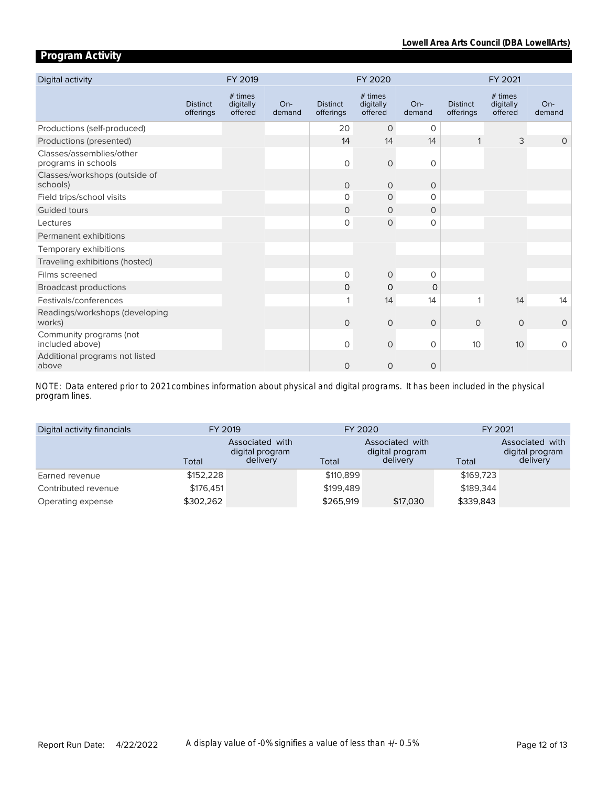# **Program Activity**

| Digital activity                                |                              | FY 2019                         |                 | FY 2020                      |                                 |                 | FY 2021                      |                                 |               |
|-------------------------------------------------|------------------------------|---------------------------------|-----------------|------------------------------|---------------------------------|-----------------|------------------------------|---------------------------------|---------------|
|                                                 | <b>Distinct</b><br>offerings | # times<br>digitally<br>offered | $On-$<br>demand | <b>Distinct</b><br>offerings | # times<br>digitally<br>offered | $On-$<br>demand | <b>Distinct</b><br>offerings | # times<br>digitally<br>offered | On-<br>demand |
| Productions (self-produced)                     |                              |                                 |                 | 20                           | $\circ$                         | 0               |                              |                                 |               |
| Productions (presented)                         |                              |                                 |                 | 14                           | 14                              | 14              |                              | 3                               | $\Omega$      |
| Classes/assemblies/other<br>programs in schools |                              |                                 |                 | $\circ$                      | $\circ$                         | 0               |                              |                                 |               |
| Classes/workshops (outside of<br>schools)       |                              |                                 |                 | $\circ$                      | $\circ$                         | $\circ$         |                              |                                 |               |
| Field trips/school visits                       |                              |                                 |                 | 0                            | $\circ$                         | $\Omega$        |                              |                                 |               |
| Guided tours                                    |                              |                                 |                 | $\circ$                      | $\circ$                         | $\circ$         |                              |                                 |               |
| Lectures                                        |                              |                                 |                 | 0                            | $\mathsf{O}$                    | 0               |                              |                                 |               |
| Permanent exhibitions                           |                              |                                 |                 |                              |                                 |                 |                              |                                 |               |
| Temporary exhibitions                           |                              |                                 |                 |                              |                                 |                 |                              |                                 |               |
| Traveling exhibitions (hosted)                  |                              |                                 |                 |                              |                                 |                 |                              |                                 |               |
| Films screened                                  |                              |                                 |                 | $\circ$                      | $\circ$                         | $\circ$         |                              |                                 |               |
| <b>Broadcast productions</b>                    |                              |                                 |                 | 0                            | 0                               | $\Omega$        |                              |                                 |               |
| Festivals/conferences                           |                              |                                 |                 | 1                            | 14                              | 14              | 1                            | 14                              | 14            |
| Readings/workshops (developing<br>works)        |                              |                                 |                 | $\circ$                      | $\circ$                         | $\mathbf{O}$    | $\circ$                      | $\circ$                         | $\circ$       |
| Community programs (not<br>included above)      |                              |                                 |                 | $\circ$                      | $\circ$                         | 0               | 10                           | 10 <sup>°</sup>                 | 0             |
| Additional programs not listed<br>above         |                              |                                 |                 | 0                            | $\circ$                         | 0               |                              |                                 |               |

*program lines. NOTE: Data entered prior to 2021 combines information about physical and digital programs. It has been included in the physical* 

| Digital activity financials | FY 2019   |                                                | FY 2020   |                                                | FY 2021   |                                                |
|-----------------------------|-----------|------------------------------------------------|-----------|------------------------------------------------|-----------|------------------------------------------------|
|                             | Total     | Associated with<br>digital program<br>delivery | Total     | Associated with<br>digital program<br>delivery | Total     | Associated with<br>digital program<br>delivery |
| Earned revenue              | \$152,228 |                                                | \$110,899 |                                                | \$169,723 |                                                |
| Contributed revenue         | \$176.451 |                                                | \$199.489 |                                                | \$189.344 |                                                |
| Operating expense           | \$302,262 |                                                | \$265,919 | \$17,030                                       | \$339,843 |                                                |